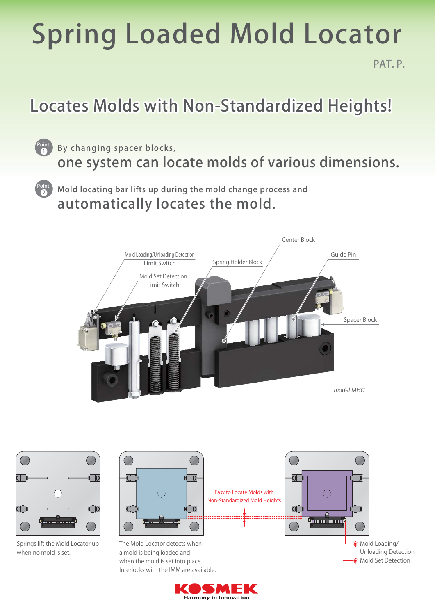# Spring Loaded Mold Locator

PAT. P.

### Locates Molds with Non-Standardized Heights!

- By changing spacer blocks, one system can locate molds of various dimensions. Point!
- Mold locating bar lifts up during the mold change process and automatically locates the mold. Point!

1

2